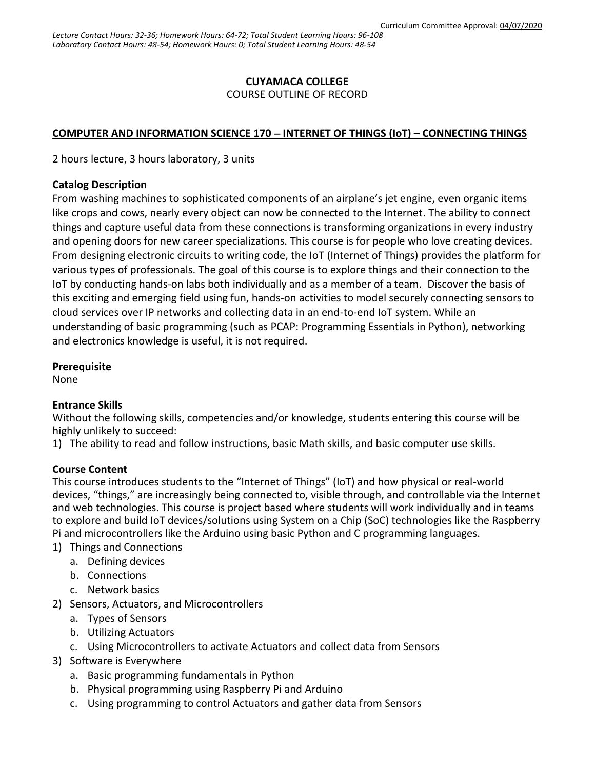# **CUYAMACA COLLEGE**

COURSE OUTLINE OF RECORD

## **COMPUTER AND INFORMATION SCIENCE 170 INTERNET OF THINGS (IoT) – CONNECTING THINGS**

2 hours lecture, 3 hours laboratory, 3 units

### **Catalog Description**

From washing machines to sophisticated components of an airplane's jet engine, even organic items like crops and cows, nearly every object can now be connected to the Internet. The ability to connect things and capture useful data from these connections is transforming organizations in every industry and opening doors for new career specializations. This course is for people who love creating devices. From designing electronic circuits to writing code, the IoT (Internet of Things) provides the platform for various types of professionals. The goal of this course is to explore things and their connection to the IoT by conducting hands-on labs both individually and as a member of a team. Discover the basis of this exciting and emerging field using fun, hands-on activities to model securely connecting sensors to cloud services over IP networks and collecting data in an end-to-end IoT system. While an understanding of basic programming (such as [PCAP: Programming Essentials in Python\)](https://www.netacad.com/courses/programming-python/), networking and electronics knowledge is useful, it is not required.

### **Prerequisite**

None

## **Entrance Skills**

Without the following skills, competencies and/or knowledge, students entering this course will be highly unlikely to succeed:

1) The ability to read and follow instructions, basic Math skills, and basic computer use skills.

### **Course Content**

This course introduces students to the "Internet of Things" (IoT) and how physical or real-world devices, "things," are increasingly being connected to, visible through, and controllable via the Internet and web technologies. This course is project based where students will work individually and in teams to explore and build IoT devices/solutions using System on a Chip (SoC) technologies like the Raspberry Pi and microcontrollers like the Arduino using basic Python and C programming languages.

- 1) Things and Connections
	- a. Defining devices
	- b. Connections
	- c. Network basics
- 2) Sensors, Actuators, and Microcontrollers
	- a. Types of Sensors
	- b. Utilizing Actuators
	- c. Using Microcontrollers to activate Actuators and collect data from Sensors
- 3) Software is Everywhere
	- a. Basic programming fundamentals in Python
	- b. Physical programming using Raspberry Pi and Arduino
	- c. Using programming to control Actuators and gather data from Sensors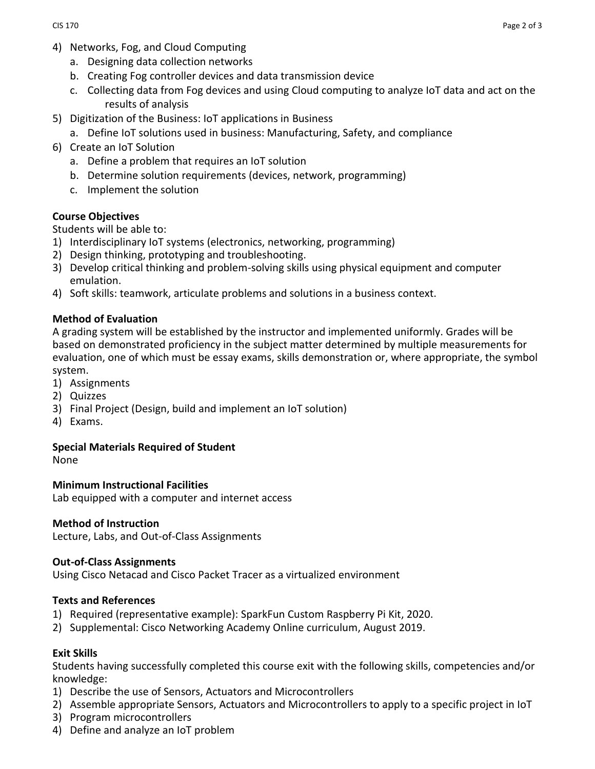- 4) Networks, Fog, and Cloud Computing
	- a. Designing data collection networks
	- b. Creating Fog controller devices and data transmission device
	- c. Collecting data from Fog devices and using Cloud computing to analyze IoT data and act on the results of analysis
- 5) Digitization of the Business: IoT applications in Business
	- a. Define IoT solutions used in business: Manufacturing, Safety, and compliance
- 6) Create an IoT Solution
	- a. Define a problem that requires an IoT solution
	- b. Determine solution requirements (devices, network, programming)
	- c. Implement the solution

### **Course Objectives**

Students will be able to:

- 1) Interdisciplinary IoT systems (electronics, networking, programming)
- 2) Design thinking, prototyping and troubleshooting.
- 3) Develop critical thinking and problem-solving skills using physical equipment and computer emulation.
- 4) Soft skills: teamwork, articulate problems and solutions in a business context.

### **Method of Evaluation**

A grading system will be established by the instructor and implemented uniformly. Grades will be based on demonstrated proficiency in the subject matter determined by multiple measurements for evaluation, one of which must be essay exams, skills demonstration or, where appropriate, the symbol system.

- 1) Assignments
- 2) Quizzes
- 3) Final Project (Design, build and implement an IoT solution)
- 4) Exams.

#### **Special Materials Required of Student**

None

#### **Minimum Instructional Facilities**

Lab equipped with a computer and internet access

#### **Method of Instruction**

Lecture, Labs, and Out-of-Class Assignments

#### **Out-of-Class Assignments**

Using Cisco Netacad and Cisco Packet Tracer as a virtualized environment

### **Texts and References**

- 1) Required (representative example): SparkFun Custom Raspberry Pi Kit, 2020.
- 2) Supplemental: Cisco Networking Academy Online curriculum, August 2019.

### **Exit Skills**

Students having successfully completed this course exit with the following skills, competencies and/or knowledge:

- 1) Describe the use of Sensors, Actuators and Microcontrollers
- 2) Assemble appropriate Sensors, Actuators and Microcontrollers to apply to a specific project in IoT
- 3) Program microcontrollers
- 4) Define and analyze an IoT problem